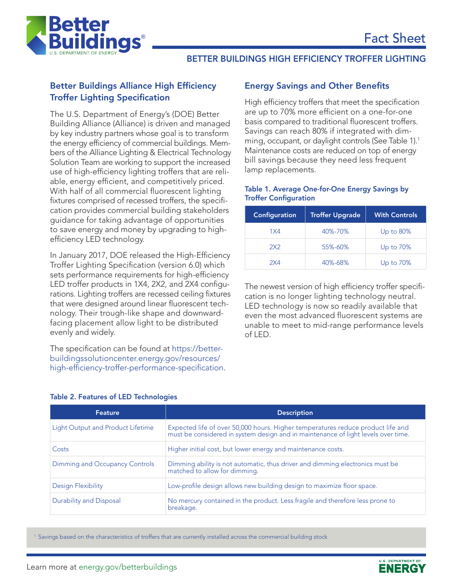

# BETTER BUILDINGS HIGH EFFICIENCY TROFFER LIGHTING

# Better Buildings Alliance High Efficiency Troffer Lighting Specification

The U.S. Department of Energy's (DOE) Better Building Alliance (Alliance) is driven and managed by key industry partners whose goal is to transform the energy efficiency of commercial buildings. Members of the Alliance Lighting & Electrical Technology Solution Team are working to support the increased use of high-efficiency lighting troffers that are reliable, energy efficient, and competitively priced. With half of all commercial fluorescent lighting fixtures comprised of recessed troffers, the specification provides commercial building stakeholders guidance for taking advantage of opportunities to save energy and money by upgrading to highefficiency LED technology.

In January 2017, DOE released the High-Efficiency Troffer Lighting Specification (version 6.0) which sets performance requirements for high-efficiency LED troffer products in 1X4, 2X2, and 2X4 configurations. Lighting troffers are recessed ceiling fixtures that were designed around linear fluorescent technology. Their trough-like shape and downwardfacing placement allow light to be distributed evenly and widely.

The specification can be found at [https://better](https://betterbuildingssolutioncenter.energy.gov/resources/high-efficiency-troffer-performance-specification)[buildingssolutioncenter.energy.gov/resources/](https://betterbuildingssolutioncenter.energy.gov/resources/high-efficiency-troffer-performance-specification) [high-efficiency-troffer-performance-specification](https://betterbuildingssolutioncenter.energy.gov/resources/high-efficiency-troffer-performance-specification).

#### Energy Savings and Other Benefits

High efficiency troffers that meet the specification are up to 70% more efficient on a one-for-one basis compared to traditional fluorescent troffers. Savings can reach 80% if integrated with dimming, occupant, or daylight controls (See Table 1).1 Maintenance costs are reduced on top of energy bill savings because they need less frequent lamp replacements.

#### Table 1. Average One-for-One Energy Savings by Troffer Configuration

| Configuration | <b>Troffer Upgrade</b> | <b>With Controls</b> |
|---------------|------------------------|----------------------|
| 1X4           | 40%-70%                | Up to $80\%$         |
| 2X2           | 55%-60%                | Up to 70%            |
| 2X4           | $40\% - 68\%$          | Up to 70%            |

The newest version of high efficiency troffer specification is no longer lighting technology neutral. LED technology is now so readily available that even the most advanced fluorescent systems are unable to meet to mid-range performance levels  $off <sub>LPD</sub>$ .

| Feature                           | <b>Description</b>                                                                                                                                                |  |
|-----------------------------------|-------------------------------------------------------------------------------------------------------------------------------------------------------------------|--|
| Light Output and Product Lifetime | Expected life of over 50,000 hours. Higher temperatures reduce product life and must be considered in system design and in maintenance of light levels over time. |  |
| Costs                             | Higher initial cost, but lower energy and maintenance costs.                                                                                                      |  |
| Dimming and Occupancy Controls    | Dimming ability is not automatic, thus driver and dimming electronics must be<br>matched to allow for dimming.                                                    |  |
| Design Flexibility                | Low-profile design allows new building design to maximize floor space.                                                                                            |  |
| Durability and Disposal           | No mercury contained in the product. Less fragile and therefore less prone to<br>breakage.                                                                        |  |

### Table 2. Features of LED Technologies

 $1.$  Savings based on the characteristics of troffers that are currently installed across the commercial building stock